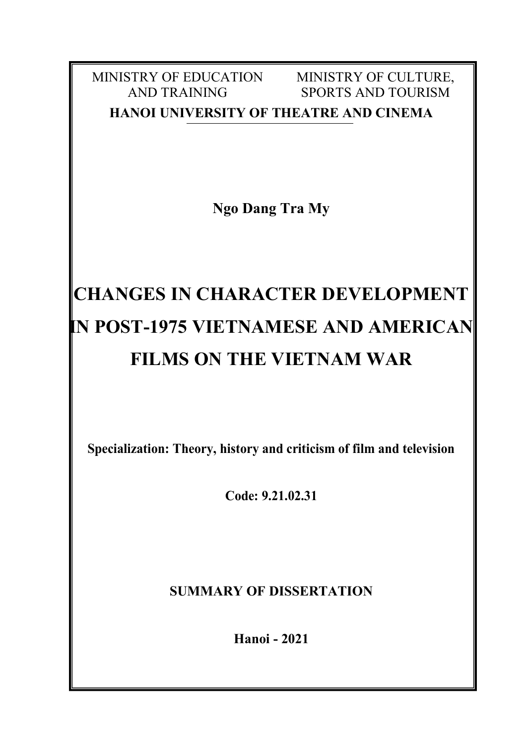MINISTRY OF EDUCATION AND TRAINING MINISTRY OF CULTURE, SPORTS AND TOURISM **HANOI UNIVERSITY OF THEATRE AND CINEMA**

**Ngo Dang Tra My**

# **CHANGES IN CHARACTER DEVELOPMENT IN POST-1975 VIETNAMESE AND AMERICAN FILMS ON THE VIETNAM WAR**

**Specialization: Theory, history and criticism of film and television**

**Code: 9.21.02.31**

**SUMMARY OF DISSERTATION**

**Hanoi - 2021**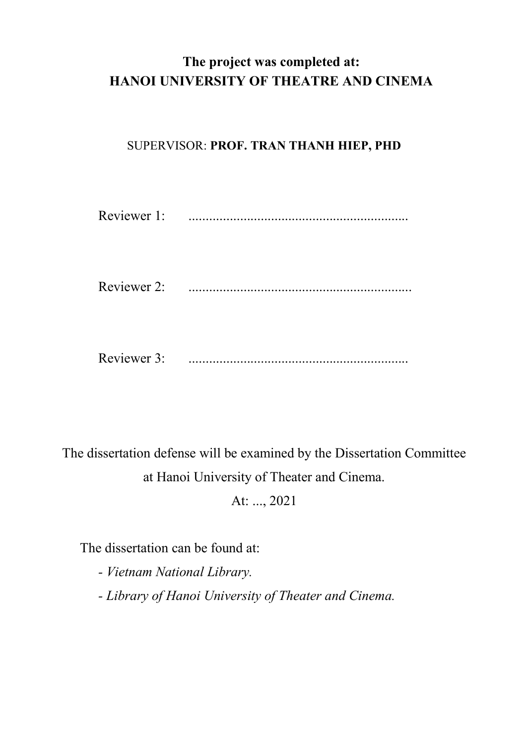# **The project was completed at: HANOI UNIVERSITY OF THEATRE AND CINEMA**

## SUPERVISOR: **PROF. TRAN THANH HIEP, PHD**

| Reviewer 1: |  |
|-------------|--|
|             |  |
| Reviewer 3: |  |

The dissertation defense will be examined by the Dissertation Committee at Hanoi University of Theater and Cinema.

At: ..., 2021

The dissertation can be found at:

*- Vietnam National Library.*

*- Library of Hanoi University of Theater and Cinema.*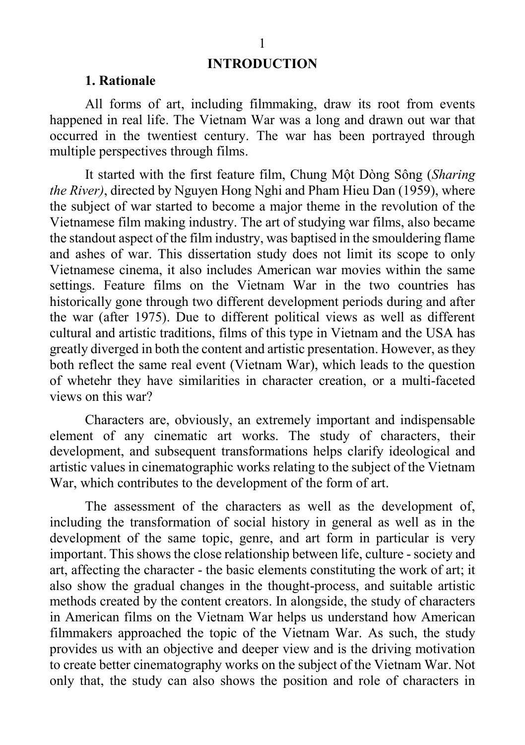#### **INTRODUCTION**

#### **1. Rationale**

All forms of art, including filmmaking, draw its root from events happened in real life. The Vietnam War was a long and drawn out war that occurred in the twentiest century. The war has been portrayed through multiple perspectives through films.

It started with the first feature film, Chung Một Dòng Sông (*Sharing the River)*, directed by Nguyen Hong Nghi and Pham Hieu Dan (1959), where the subject of war started to become a major theme in the revolution of the Vietnamese film making industry. The art of studying war films, also became the standout aspect of the film industry, was baptised in the smouldering flame and ashes of war. This dissertation study does not limit its scope to only Vietnamese cinema, it also includes American war movies within the same settings. Feature films on the Vietnam War in the two countries has historically gone through two different development periods during and after the war (after 1975). Due to different political views as well as different cultural and artistic traditions, films of this type in Vietnam and the USA has greatly diverged in both the content and artistic presentation. However, as they both reflect the same real event (Vietnam War), which leads to the question of whetehr they have similarities in character creation, or a multi-faceted views on this war?

Characters are, obviously, an extremely important and indispensable element of any cinematic art works. The study of characters, their development, and subsequent transformations helps clarify ideological and artistic values in cinematographic works relating to the subject of the Vietnam War, which contributes to the development of the form of art.

The assessment of the characters as well as the development of, including the transformation of social history in general as well as in the development of the same topic, genre, and art form in particular is very important. This shows the close relationship between life, culture -society and art, affecting the character - the basic elements constituting the work of art; it also show the gradual changes in the thought-process, and suitable artistic methods created by the content creators. In alongside, the study of characters in American films on the Vietnam War helps us understand how American filmmakers approached the topic of the Vietnam War. As such, the study provides us with an objective and deeper view and is the driving motivation to create better cinematography works on the subject of the Vietnam War. Not only that, the study can also shows the position and role of characters in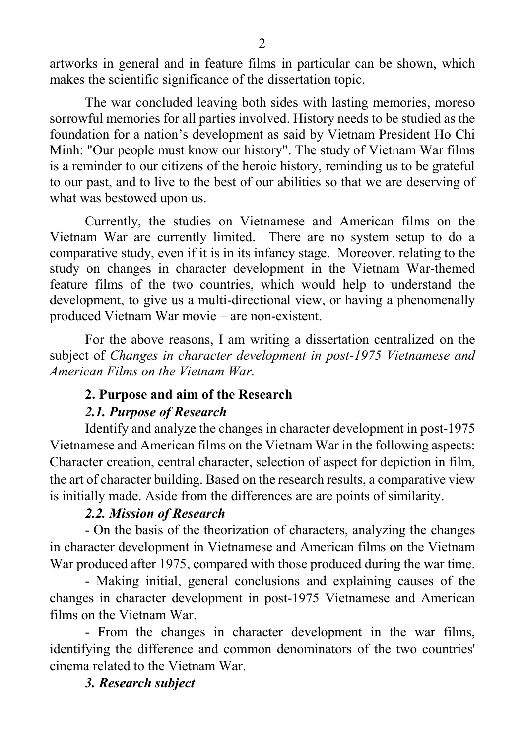artworks in general and in feature films in particular can be shown, which makes the scientific significance of the dissertation topic.

The war concluded leaving both sides with lasting memories, moreso sorrowful memories for all parties involved. History needs to be studied as the foundation for a nation's development as said by Vietnam President Ho Chi Minh: "Our people must know our history". The study of Vietnam War films is a reminder to our citizens of the heroic history, reminding us to be grateful to our past, and to live to the best of our abilities so that we are deserving of what was bestowed upon us.

Currently, the studies on Vietnamese and American films on the Vietnam War are currently limited. There are no system setup to do a comparative study, even if it is in its infancy stage. Moreover, relating to the study on changes in character development in the Vietnam War-themed feature films of the two countries, which would help to understand the development, to give us a multi-directional view, or having a phenomenally produced Vietnam War movie – are non-existent.

For the above reasons, I am writing a dissertation centralized on the subject of *Changes in character development in post-1975 Vietnamese and American Films on the Vietnam War.*

## **2. Purpose and aim of the Research**

## *2.1. Purpose of Research*

Identify and analyze the changes in character development in post-1975 Vietnamese and American films on the Vietnam War in the following aspects: Character creation, central character, selection of aspect for depiction in film, the art of character building. Based on the research results, a comparative view is initially made. Aside from the differences are are points of similarity.

## *2.2. Mission of Research*

- On the basis of the theorization of characters, analyzing the changes in character development in Vietnamese and American films on the Vietnam War produced after 1975, compared with those produced during the war time.

- Making initial, general conclusions and explaining causes of the changes in character development in post-1975 Vietnamese and American films on the Vietnam War.

- From the changes in character development in the war films, identifying the difference and common denominators of the two countries' cinema related to the Vietnam War.

## *3. Research subject*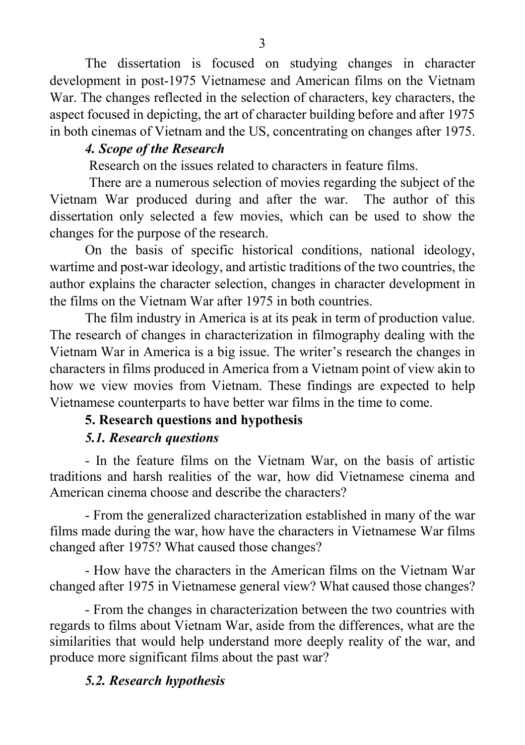The dissertation is focused on studying changes in character development in post-1975 Vietnamese and American films on the Vietnam War. The changes reflected in the selection of characters, key characters, the aspect focused in depicting, the art of character building before and after 1975 in both cinemas of Vietnam and the US, concentrating on changes after 1975.

## *4. Scope of the Research*

Research on the issues related to characters in feature films.

There are a numerous selection of movies regarding the subject of the Vietnam War produced during and after the war. The author of this dissertation only selected a few movies, which can be used to show the changes for the purpose of the research.

On the basis of specific historical conditions, national ideology, wartime and post-war ideology, and artistic traditions of the two countries, the author explains the character selection, changes in character development in the films on the Vietnam War after 1975 in both countries.

The film industry in America is at its peak in term of production value. The research of changes in characterization in filmography dealing with the Vietnam War in America is a big issue. The writer's research the changes in characters in films produced in America from a Vietnam point of view akin to how we view movies from Vietnam. These findings are expected to help Vietnamese counterparts to have better war films in the time to come.

## **5. Research questions and hypothesis**

## *5.1. Research questions*

- In the feature films on the Vietnam War, on the basis of artistic traditions and harsh realities of the war, how did Vietnamese cinema and American cinema choose and describe the characters?

- From the generalized characterization established in many of the war films made during the war, how have the characters in Vietnamese War films changed after 1975? What caused those changes?

- How have the characters in the American films on the Vietnam War changed after 1975 in Vietnamese general view? What caused those changes?

- From the changes in characterization between the two countries with regards to films about Vietnam War, aside from the differences, what are the similarities that would help understand more deeply reality of the war, and produce more significant films about the past war?

## *5.2. Research hypothesis*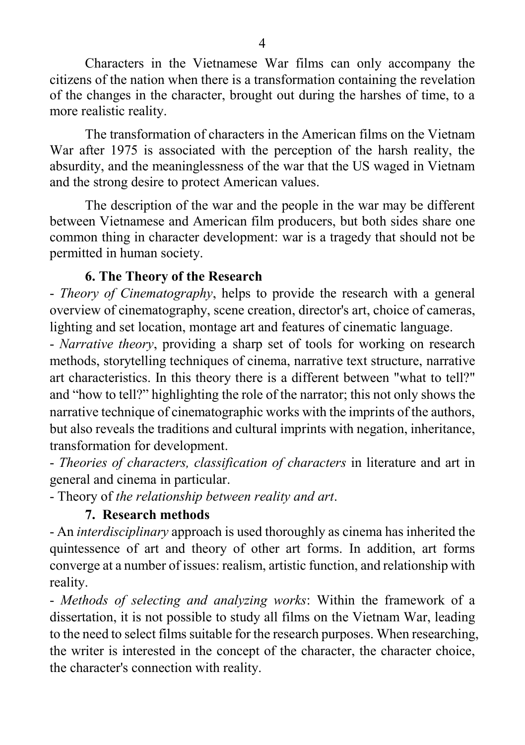Characters in the Vietnamese War films can only accompany the citizens of the nation when there is a transformation containing the revelation of the changes in the character, brought out during the harshes of time, to a more realistic reality.

The transformation of characters in the American films on the Vietnam War after 1975 is associated with the perception of the harsh reality, the absurdity, and the meaninglessness of the war that the US waged in Vietnam and the strong desire to protect American values.

The description of the war and the people in the war may be different between Vietnamese and American film producers, but both sides share one common thing in character development: war is a tragedy that should not be permitted in human society.

## **6. The Theory of the Research**

- *Theory of Cinematography*, helps to provide the research with a general overview of cinematography, scene creation, director's art, choice of cameras, lighting and set location, montage art and features of cinematic language.

- *Narrative theory*, providing a sharp set of tools for working on research methods, storytelling techniques of cinema, narrative text structure, narrative art characteristics. In this theory there is a different between "what to tell?" and "how to tell?" highlighting the role of the narrator; this not only shows the narrative technique of cinematographic works with the imprints of the authors, but also reveals the traditions and cultural imprints with negation, inheritance, transformation for development.

- *Theories of characters, classification of characters* in literature and art in general and cinema in particular.

- Theory of *the relationship between reality and art*.

## **7. Research methods**

- An *interdisciplinary* approach is used thoroughly as cinema has inherited the quintessence of art and theory of other art forms. In addition, art forms converge at a number of issues: realism, artistic function, and relationship with reality.

- *Methods of selecting and analyzing works*: Within the framework of a dissertation, it is not possible to study all films on the Vietnam War, leading to the need to select films suitable for the research purposes. When researching, the writer is interested in the concept of the character, the character choice, the character's connection with reality.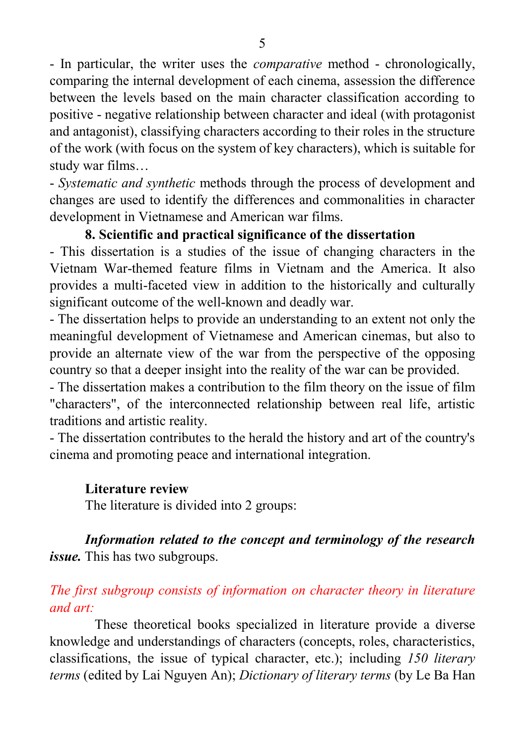- In particular, the writer uses the *comparative* method - chronologically, comparing the internal development of each cinema, assession the difference between the levels based on the main character classification according to positive - negative relationship between character and ideal (with protagonist and antagonist), classifying characters according to their roles in the structure of the work (with focus on the system of key characters), which is suitable for study war films…

- *Systematic and synthetic* methods through the process of development and changes are used to identify the differences and commonalities in character development in Vietnamese and American war films.

#### **8. Scientific and practical significance of the dissertation**

- This dissertation is a studies of the issue of changing characters in the Vietnam War-themed feature films in Vietnam and the America. It also provides a multi-faceted view in addition to the historically and culturally significant outcome of the well-known and deadly war.

- The dissertation helps to provide an understanding to an extent not only the meaningful development of Vietnamese and American cinemas, but also to provide an alternate view of the war from the perspective of the opposing country so that a deeper insight into the reality of the war can be provided.

- The dissertation makes a contribution to the film theory on the issue of film "characters", of the interconnected relationship between real life, artistic traditions and artistic reality.

- The dissertation contributes to the herald the history and art of the country's cinema and promoting peace and international integration.

#### **Literature review**

The literature is divided into 2 groups:

## *Information related to the concept and terminology of the research issue.* This has two subgroups.

## *The first subgroup consists of information on character theory in literature and art:*

These theoretical books specialized in literature provide a diverse knowledge and understandings of characters (concepts, roles, characteristics, classifications, the issue of typical character, etc.); including *150 literary terms* (edited by Lai Nguyen An); *Dictionary of literary terms* (by Le Ba Han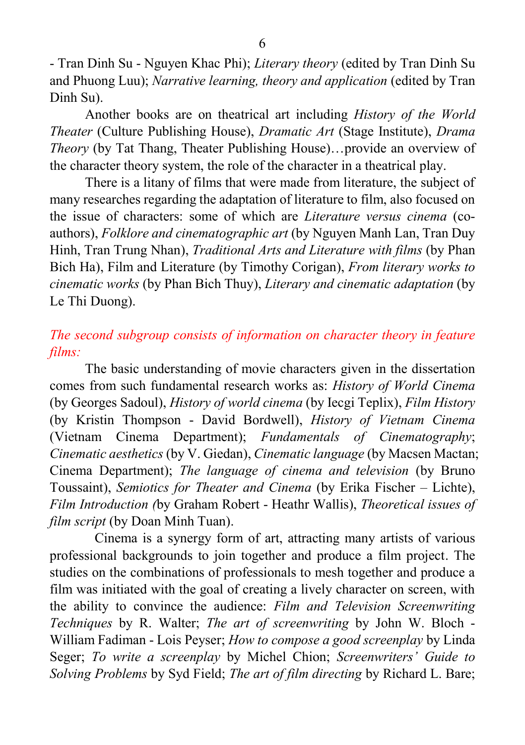- Tran Dinh Su - Nguyen Khac Phi); *Literary theory* (edited by Tran Dinh Su and Phuong Luu); *Narrative learning, theory and application* (edited by Tran Dinh Su).

Another books are on theatrical art including *History of the World Theater* (Culture Publishing House), *Dramatic Art* (Stage Institute), *Drama Theory* (by Tat Thang, Theater Publishing House)…provide an overview of the character theory system, the role of the character in a theatrical play.

There is a litany of films that were made from literature, the subject of many researches regarding the adaptation of literature to film, also focused on the issue of characters: some of which are *Literature versus cinema* (coauthors), *Folklore and cinematographic art* (by Nguyen Manh Lan, Tran Duy Hinh, Tran Trung Nhan), *Traditional Arts and Literature with films* (by Phan Bich Ha), Film and Literature (by Timothy Corigan), *From literary works to cinematic works* (by Phan Bich Thuy), *Literary and cinematic adaptation* (by Le Thi Duong).

## *The second subgroup consists of information on character theory in feature films:*

The basic understanding of movie characters given in the dissertation comes from such fundamental research works as: *History of World Cinema* (by Georges Sadoul), *History of world cinema* (by Iecgi Teplix), *Film History* (by Kristin Thompson - David Bordwell), *History of Vietnam Cinema* (Vietnam Cinema Department); *Fundamentals of Cinematography*; *Cinematic aesthetics* (by V. Giedan), *Cinematic language* (by Macsen Mactan; Cinema Department); *The language of cinema and television* (by Bruno Toussaint), *Semiotics for Theater and Cinema* (by Erika Fischer – Lichte), *Film Introduction (*by Graham Robert - Heathr Wallis), *Theoretical issues of film script* (by Doan Minh Tuan).

Cinema is a synergy form of art, attracting many artists of various professional backgrounds to join together and produce a film project. The studies on the combinations of professionals to mesh together and produce a film was initiated with the goal of creating a lively character on screen, with the ability to convince the audience: *Film and Television Screenwriting Techniques* by R. Walter; *The art of screenwriting* by John W. Bloch - William Fadiman - Lois Peyser; *How to compose a good screenplay* by Linda Seger; *To write a screenplay* by Michel Chion; *Screenwriters' Guide to Solving Problems* by Syd Field; *The art of film directing* by Richard L. Bare;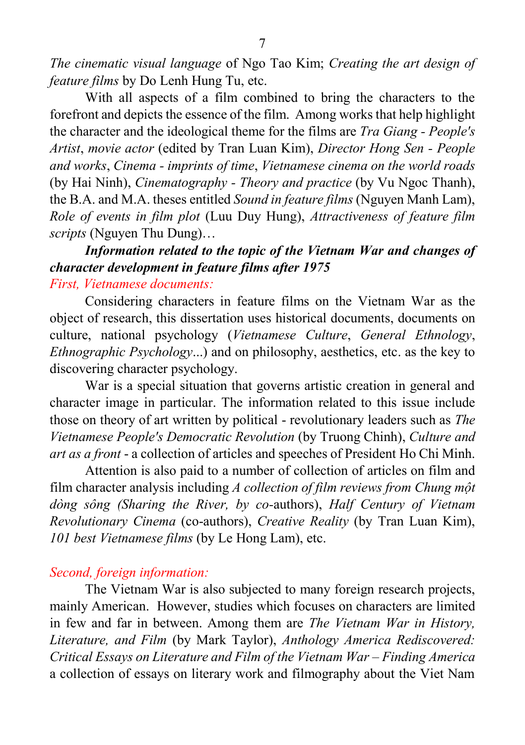*The cinematic visual language* of Ngo Tao Kim; *Creating the art design of feature films* by Do Lenh Hung Tu, etc.

With all aspects of a film combined to bring the characters to the forefront and depicts the essence of the film. Among works that help highlight the character and the ideological theme for the films are *Tra Giang - People's Artist*, *movie actor* (edited by Tran Luan Kim), *Director Hong Sen - People and works*, *Cinema - imprints of time*, *Vietnamese cinema on the world roads* (by Hai Ninh), *Cinematography - Theory and practice* (by Vu Ngoc Thanh), the B.A. and M.A. theses entitled *Sound in feature films* (Nguyen Manh Lam), *Role of events in film plot* (Luu Duy Hung), *Attractiveness of feature film scripts* (Nguyen Thu Dung)…

## *Information related to the topic of the Vietnam War and changes of character development in feature films after 1975 First, Vietnamese documents:*

Considering characters in feature films on the Vietnam War as the object of research, this dissertation uses historical documents, documents on culture, national psychology (*Vietnamese Culture*, *General Ethnology*, *Ethnographic Psychology*...) and on philosophy, aesthetics, etc. as the key to discovering character psychology.

War is a special situation that governs artistic creation in general and character image in particular. The information related to this issue include those on theory of art written by political - revolutionary leaders such as *The Vietnamese People's Democratic Revolution* (by Truong Chinh), *Culture and art as a front* - a collection of articles and speeches of President Ho Chi Minh.

Attention is also paid to a number of collection of articles on film and film character analysis including *A collection of film reviews from Chung một dòng sông (Sharing the River, by co-*authors), *Half Century of Vietnam Revolutionary Cinema* (co-authors), *Creative Reality* (by Tran Luan Kim), *101 best Vietnamese films* (by Le Hong Lam), etc.

#### *Second, foreign information:*

The Vietnam War is also subjected to many foreign research projects, mainly American. However, studies which focuses on characters are limited in few and far in between. Among them are *The Vietnam War in History, Literature, and Film* (by Mark Taylor), *Anthology America Rediscovered: Critical Essays on Literature and Film of the Vietnam War – Finding America*  a collection of essays on literary work and filmography about the Viet Nam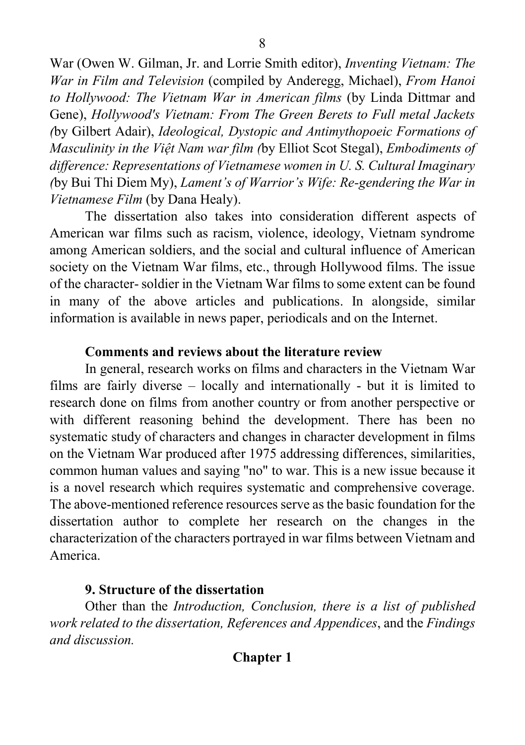War (Owen W. Gilman, Jr. and Lorrie Smith editor), *Inventing Vietnam: The War in Film and Television* (compiled by Anderegg, Michael), *From Hanoi to Hollywood: The Vietnam War in American films* (by Linda Dittmar and Gene), *Hollywood's Vietnam: From The Green Berets to Full metal Jackets (*by Gilbert Adair), *Ideological, Dystopic and Antimythopoeic Formations of Masculinity in the Việt Nam war film (*by Elliot Scot Stegal), *Embodiments of difference: Representations of Vietnamese women in U. S. Cultural Imaginary (*by Bui Thi Diem My), *Lament's of Warrior's Wife: Re-gendering the War in Vietnamese Film* (by Dana Healy).

The dissertation also takes into consideration different aspects of American war films such as racism, violence, ideology, Vietnam syndrome among American soldiers, and the social and cultural influence of American society on the Vietnam War films, etc., through Hollywood films. The issue of the character-soldier in the Vietnam War films to some extent can be found in many of the above articles and publications. In alongside, similar information is available in news paper, periodicals and on the Internet.

#### **Comments and reviews about the literature review**

In general, research works on films and characters in the Vietnam War films are fairly diverse – locally and internationally - but it is limited to research done on films from another country or from another perspective or with different reasoning behind the development. There has been no systematic study of characters and changes in character development in films on the Vietnam War produced after 1975 addressing differences, similarities, common human values and saying "no" to war. This is a new issue because it is a novel research which requires systematic and comprehensive coverage. The above-mentioned reference resources serve as the basic foundation for the dissertation author to complete her research on the changes in the characterization of the characters portrayed in war films between Vietnam and America.

## **9. Structure of the dissertation**

Other than the *Introduction, Conclusion, there is a list of published work related to the dissertation, References and Appendices*, and the *Findings and discussion.*

## **Chapter 1**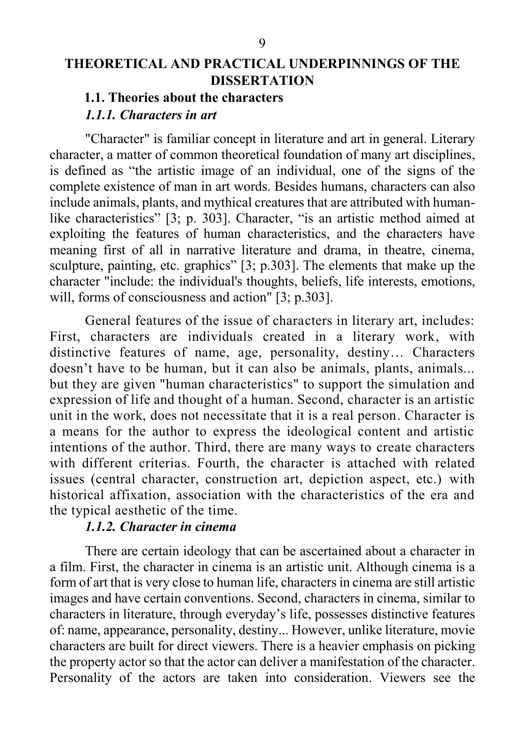## **THEORETICAL AND PRACTICAL UNDERPINNINGS OF THE DISSERTATION**

#### **1.1. Theories about the characters** *1.1.1. Characters in art*

"Character" is familiar concept in literature and art in general. Literary character, a matter of common theoretical foundation of many art disciplines, is defined as "the artistic image of an individual, one of the signs of the complete existence of man in art words. Besides humans, characters can also include animals, plants, and mythical creatures that are attributed with humanlike characteristics" [3; p. 303]. Character, "is an artistic method aimed at exploiting the features of human characteristics, and the characters have meaning first of all in narrative literature and drama, in theatre, cinema, sculpture, painting, etc. graphics" [3; p.303]. The elements that make up the character "include: the individual's thoughts, beliefs, life interests, emotions, will, forms of consciousness and action" [3; p.303].

General features of the issue of characters in literary art, includes: First, characters are individuals created in a literary work, with distinctive features of name, age, personality, destiny… Characters doesn't have to be human, but it can also be animals, plants, animals... but they are given "human characteristics" to support the simulation and expression of life and thought of a human. Second, character is an artistic unit in the work, does not necessitate that it is a real person. Character is a means for the author to express the ideological content and artistic intentions of the author. Third, there are many ways to create characters with different criterias. Fourth, the character is attached with related issues (central character, construction art, depiction aspect, etc.) with historical affixation, association with the characteristics of the era and the typical aesthetic of the time.

#### *1.1.2. Character in cinema*

There are certain ideology that can be ascertained about a character in a film. First, the character in cinema is an artistic unit. Although cinema is a form of art that is very close to human life, characters in cinema are still artistic images and have certain conventions. Second, characters in cinema, similar to characters in literature, through everyday's life, possesses distinctive features of: name, appearance, personality, destiny... However, unlike literature, movie characters are built for direct viewers. There is a heavier emphasis on picking the property actor so that the actor can deliver a manifestation of the character. Personality of the actors are taken into consideration. Viewers see the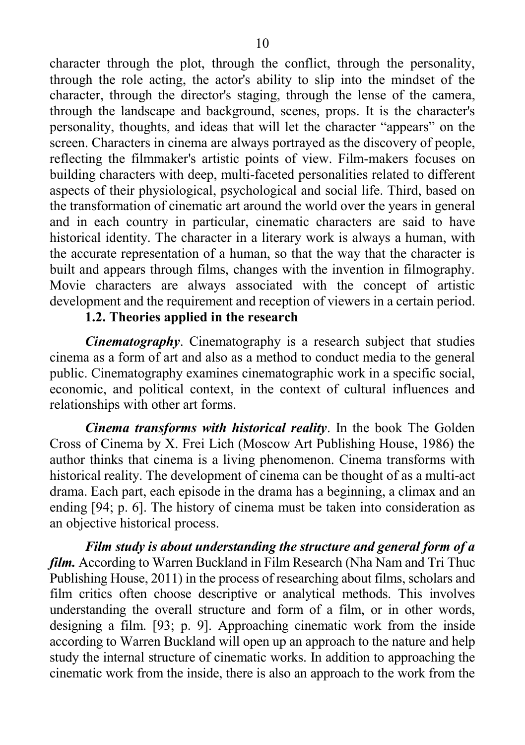character through the plot, through the conflict, through the personality, through the role acting, the actor's ability to slip into the mindset of the character, through the director's staging, through the lense of the camera, through the landscape and background, scenes, props. It is the character's personality, thoughts, and ideas that will let the character "appears" on the screen. Characters in cinema are always portrayed as the discovery of people, reflecting the filmmaker's artistic points of view. Film-makers focuses on building characters with deep, multi-faceted personalities related to different aspects of their physiological, psychological and social life. Third, based on the transformation of cinematic art around the world over the years in general and in each country in particular, cinematic characters are said to have historical identity. The character in a literary work is always a human, with the accurate representation of a human, so that the way that the character is built and appears through films, changes with the invention in filmography. Movie characters are always associated with the concept of artistic development and the requirement and reception of viewers in a certain period.

## **1.2. Theories applied in the research**

*Cinematography*. Cinematography is a research subject that studies cinema as a form of art and also as a method to conduct media to the general public. Cinematography examines cinematographic work in a specific social, economic, and political context, in the context of cultural influences and relationships with other art forms.

*Cinema transforms with historical reality*. In the book The Golden Cross of Cinema by X. Frei Lich (Moscow Art Publishing House, 1986) the author thinks that cinema is a living phenomenon. Cinema transforms with historical reality. The development of cinema can be thought of as a multi-act drama. Each part, each episode in the drama has a beginning, a climax and an ending [94; p. 6]. The history of cinema must be taken into consideration as an objective historical process.

*Film study is about understanding the structure and general form of a film.* According to Warren Buckland in Film Research (Nha Nam and Tri Thuc Publishing House, 2011) in the process of researching about films, scholars and film critics often choose descriptive or analytical methods. This involves understanding the overall structure and form of a film, or in other words, designing a film. [93; p. 9]. Approaching cinematic work from the inside according to Warren Buckland will open up an approach to the nature and help study the internal structure of cinematic works. In addition to approaching the cinematic work from the inside, there is also an approach to the work from the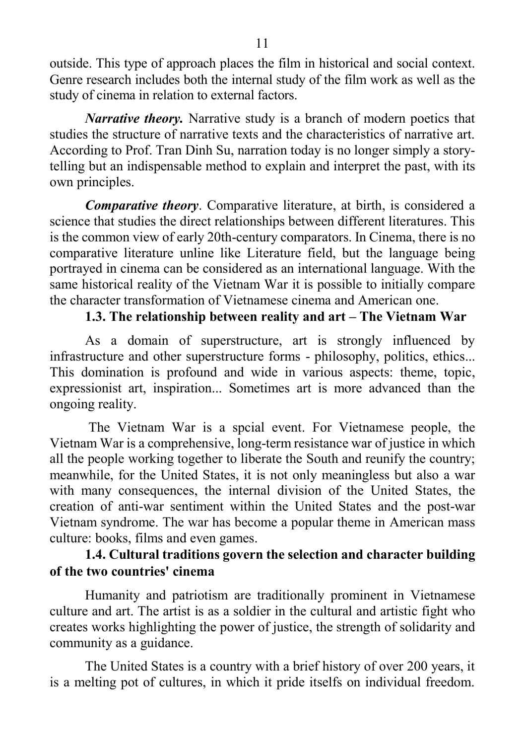outside. This type of approach places the film in historical and social context. Genre research includes both the internal study of the film work as well as the study of cinema in relation to external factors.

*Narrative theory.* Narrative study is a branch of modern poetics that studies the structure of narrative texts and the characteristics of narrative art. According to Prof. Tran Dinh Su, narration today is no longer simply a storytelling but an indispensable method to explain and interpret the past, with its own principles.

*Comparative theory*. Comparative literature, at birth, is considered a science that studies the direct relationships between different literatures. This is the common view of early 20th-century comparators. In Cinema, there is no comparative literature unline like Literature field, but the language being portrayed in cinema can be considered as an international language. With the same historical reality of the Vietnam War it is possible to initially compare the character transformation of Vietnamese cinema and American one.

## **1.3. The relationship between reality and art – The Vietnam War**

As a domain of superstructure, art is strongly influenced by infrastructure and other superstructure forms - philosophy, politics, ethics... This domination is profound and wide in various aspects: theme, topic, expressionist art, inspiration... Sometimes art is more advanced than the ongoing reality.

The Vietnam War is a spcial event. For Vietnamese people, the Vietnam War is a comprehensive, long-term resistance war of justice in which all the people working together to liberate the South and reunify the country; meanwhile, for the United States, it is not only meaningless but also a war with many consequences, the internal division of the United States, the creation of anti-war sentiment within the United States and the post-war Vietnam syndrome. The war has become a popular theme in American mass culture: books, films and even games.

## **1.4. Cultural traditions govern the selection and character building of the two countries' cinema**

Humanity and patriotism are traditionally prominent in Vietnamese culture and art. The artist is as a soldier in the cultural and artistic fight who creates works highlighting the power of justice, the strength of solidarity and community as a guidance.

The United States is a country with a brief history of over 200 years, it is a melting pot of cultures, in which it pride itselfs on individual freedom.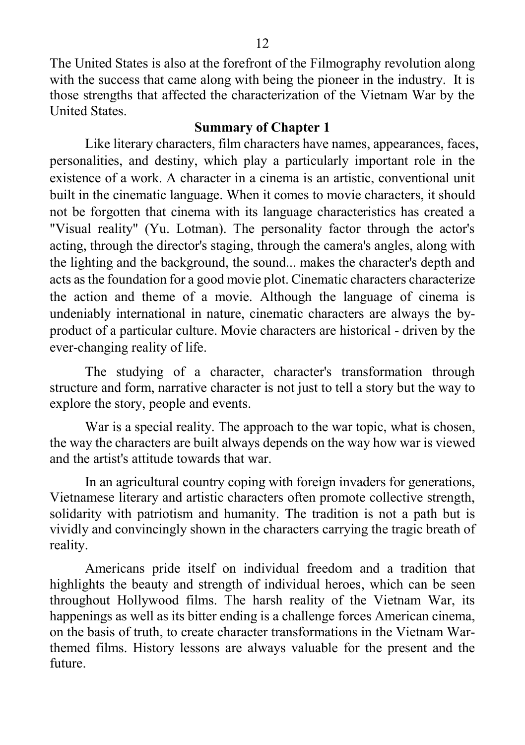The United States is also at the forefront of the Filmography revolution along with the success that came along with being the pioneer in the industry. It is those strengths that affected the characterization of the Vietnam War by the United States.

#### **Summary of Chapter 1**

Like literary characters, film characters have names, appearances, faces, personalities, and destiny, which play a particularly important role in the existence of a work. A character in a cinema is an artistic, conventional unit built in the cinematic language. When it comes to movie characters, it should not be forgotten that cinema with its language characteristics has created a "Visual reality" (Yu. Lotman). The personality factor through the actor's acting, through the director's staging, through the camera's angles, along with the lighting and the background, the sound... makes the character's depth and acts as the foundation for a good movie plot. Cinematic characters characterize the action and theme of a movie. Although the language of cinema is undeniably international in nature, cinematic characters are always the byproduct of a particular culture. Movie characters are historical - driven by the ever-changing reality of life.

The studying of a character, character's transformation through structure and form, narrative character is not just to tell a story but the way to explore the story, people and events.

War is a special reality. The approach to the war topic, what is chosen, the way the characters are built always depends on the way how war is viewed and the artist's attitude towards that war.

In an agricultural country coping with foreign invaders for generations, Vietnamese literary and artistic characters often promote collective strength, solidarity with patriotism and humanity. The tradition is not a path but is vividly and convincingly shown in the characters carrying the tragic breath of reality.

Americans pride itself on individual freedom and a tradition that highlights the beauty and strength of individual heroes, which can be seen throughout Hollywood films. The harsh reality of the Vietnam War, its happenings as well as its bitter ending is a challenge forces American cinema, on the basis of truth, to create character transformations in the Vietnam Warthemed films. History lessons are always valuable for the present and the future.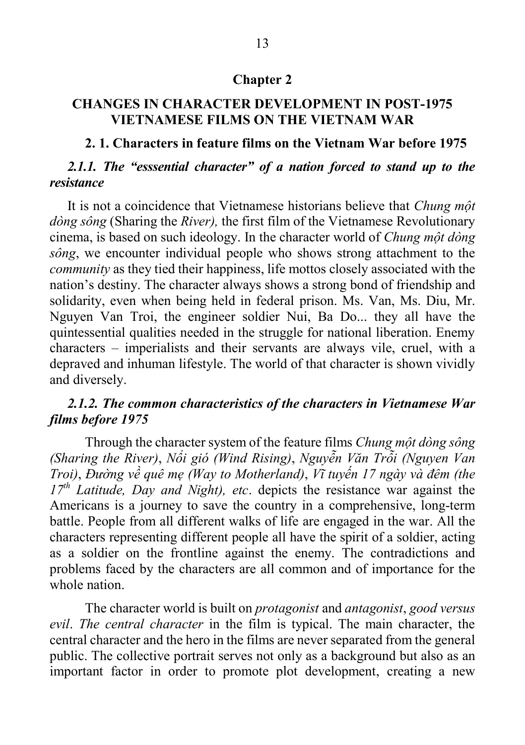#### **Chapter 2**

## **CHANGES IN CHARACTER DEVELOPMENT IN POST-1975 VIETNAMESE FILMS ON THE VIETNAM WAR**

#### **2. 1. Characters in feature films on the Vietnam War before 1975**

## *2.1.1. The "esssential character" of a nation forced to stand up to the resistance*

It is not a coincidence that Vietnamese historians believe that *Chung một dòng sông* (Sharing the *River),* the first film of the Vietnamese Revolutionary cinema, is based on such ideology. In the character world of *Chung một dòng sông*, we encounter individual people who shows strong attachment to the *community* as they tied their happiness, life mottos closely associated with the nation's destiny. The character always shows a strong bond of friendship and solidarity, even when being held in federal prison. Ms. Van, Ms. Diu, Mr. Nguyen Van Troi, the engineer soldier Nui, Ba Do... they all have the quintessential qualities needed in the struggle for national liberation. Enemy characters – imperialists and their servants are always vile, cruel, with a depraved and inhuman lifestyle. The world of that character is shown vividly and diversely.

#### *2.1.2. The common characteristics of the characters in Vietnamese War films before 1975*

Through the character system of the feature films *Chung một dòng sông (Sharing the River)*, *Nổi gió (Wind Rising)*, *Nguyễn Văn Trỗi (Nguyen Van Troi)*, *Đường về quê mẹ (Way to Motherland)*, *Vĩ tuyến 17 ngày và đêm (the 17th Latitude, Day and Night), etc*. depicts the resistance war against the Americans is a journey to save the country in a comprehensive, long-term battle. People from all different walks of life are engaged in the war. All the characters representing different people all have the spirit of a soldier, acting as a soldier on the frontline against the enemy. The contradictions and problems faced by the characters are all common and of importance for the whole nation.

The character world is built on *protagonist* and *antagonist*, *good versus evil*. *The central character* in the film is typical. The main character, the central character and the hero in the films are never separated from the general public. The collective portrait serves not only as a background but also as an important factor in order to promote plot development, creating a new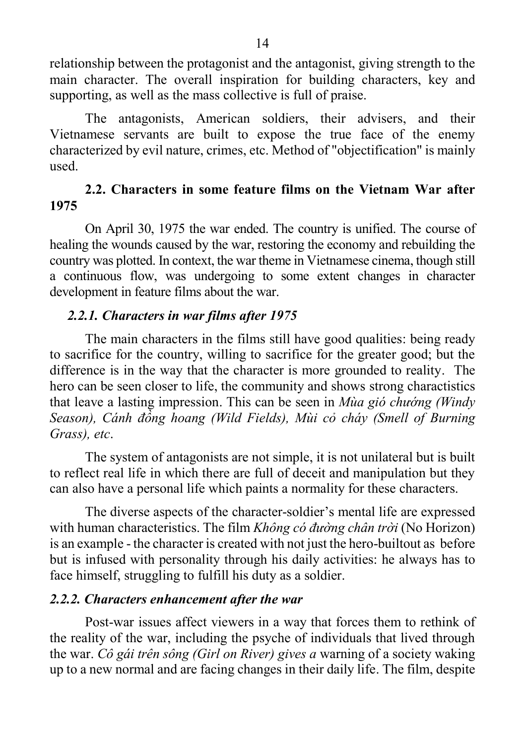relationship between the protagonist and the antagonist, giving strength to the main character. The overall inspiration for building characters, key and supporting, as well as the mass collective is full of praise.

The antagonists, American soldiers, their advisers, and their Vietnamese servants are built to expose the true face of the enemy characterized by evil nature, crimes, etc. Method of "objectification" is mainly used.

## **2.2. Characters in some feature films on the Vietnam War after 1975**

On April 30, 1975 the war ended. The country is unified. The course of healing the wounds caused by the war, restoring the economy and rebuilding the country was plotted. In context, the war theme in Vietnamese cinema, though still a continuous flow, was undergoing to some extent changes in character development in feature films about the war.

#### *2.2.1. Characters in war films after 1975*

The main characters in the films still have good qualities: being ready to sacrifice for the country, willing to sacrifice for the greater good; but the difference is in the way that the character is more grounded to reality. The hero can be seen closer to life, the community and shows strong charactistics that leave a lasting impression. This can be seen in *Mùa gió chướng (Windy Season), Cánh đồng hoang (Wild Fields), Mùi cỏ cháy (Smell of Burning Grass), etc*.

The system of antagonists are not simple, it is not unilateral but is built to reflect real life in which there are full of deceit and manipulation but they can also have a personal life which paints a normality for these characters.

The diverse aspects of the character-soldier's mental life are expressed with human characteristics. The film *Không có đường chân trời* (No Horizon) is an example - the character is created with not just the hero-builtout as before but is infused with personality through his daily activities: he always has to face himself, struggling to fulfill his duty as a soldier.

#### *2.2.2. Characters enhancement after the war*

Post-war issues affect viewers in a way that forces them to rethink of the reality of the war, including the psyche of individuals that lived through the war. *Cô gái trên sông (Girl on River) gives a* warning of a society waking up to a new normal and are facing changes in their daily life. The film, despite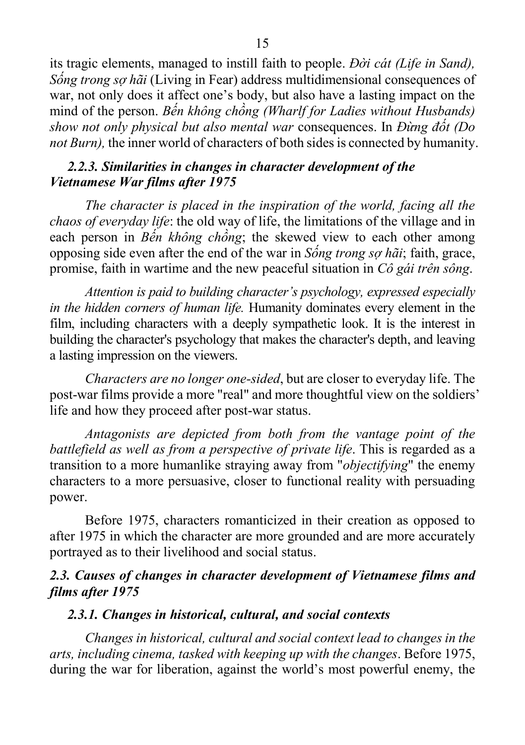its tragic elements, managed to instill faith to people. *Đời cát (Life in Sand), Sống trong sợ hãi* (Living in Fear) address multidimensional consequences of war, not only does it affect one's body, but also have a lasting impact on the mind of the person. *Bến không chồng (Wharlf for Ladies without Husbands) show not only physical but also mental war* consequences. In *Đừng đốt (Do not Burn),* the inner world of characters of both sides is connected by humanity.

## *2.2.3. Similarities in changes in character development of the Vietnamese War films after 1975*

*The character is placed in the inspiration of the world, facing all the chaos of everyday life*: the old way of life, the limitations of the village and in each person in *Bến không chồng*; the skewed view to each other among opposing side even after the end of the war in *Sống trong sợ hãi*; faith, grace, promise, faith in wartime and the new peaceful situation in *Cô gái trên sông*.

*Attention is paid to building character's psychology, expressed especially in the hidden corners of human life.* Humanity dominates every element in the film, including characters with a deeply sympathetic look. It is the interest in building the character's psychology that makes the character's depth, and leaving a lasting impression on the viewers.

*Characters are no longer one-sided*, but are closer to everyday life. The post-war films provide a more "real" and more thoughtful view on the soldiers' life and how they proceed after post-war status.

*Antagonists are depicted from both from the vantage point of the battlefield as well as from a perspective of private life*. This is regarded as a transition to a more humanlike straying away from "*objectifying*" the enemy characters to a more persuasive, closer to functional reality with persuading power.

Before 1975, characters romanticized in their creation as opposed to after 1975 in which the character are more grounded and are more accurately portrayed as to their livelihood and social status.

## *2.3. Causes of changes in character development of Vietnamese films and films after 1975*

## *2.3.1. Changes in historical, cultural, and social contexts*

*Changes in historical, cultural and social context lead to changes in the arts, including cinema, tasked with keeping up with the changes*. Before 1975, during the war for liberation, against the world's most powerful enemy, the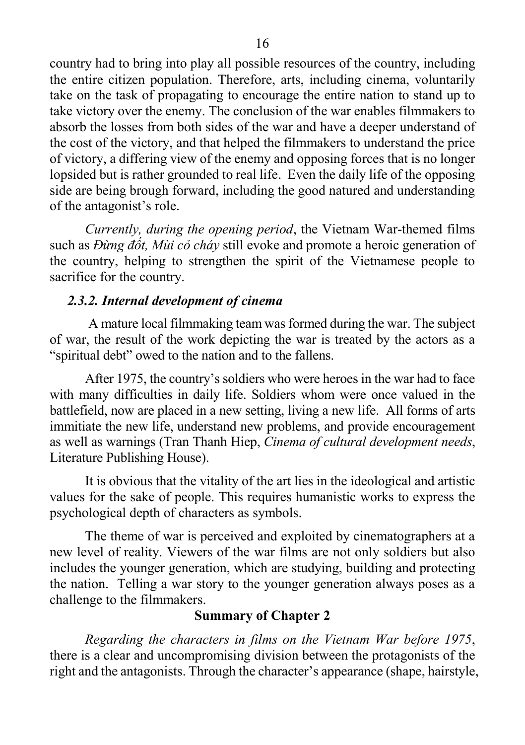country had to bring into play all possible resources of the country, including the entire citizen population. Therefore, arts, including cinema, voluntarily take on the task of propagating to encourage the entire nation to stand up to take victory over the enemy. The conclusion of the war enables filmmakers to absorb the losses from both sides of the war and have a deeper understand of the cost of the victory, and that helped the filmmakers to understand the price of victory, a differing view of the enemy and opposing forces that is no longer lopsided but is rather grounded to real life. Even the daily life of the opposing side are being brough forward, including the good natured and understanding of the antagonist's role.

*Currently, during the opening period*, the Vietnam War-themed films such as *Đừng đốt, Mùi cỏ cháy* still evoke and promote a heroic generation of the country, helping to strengthen the spirit of the Vietnamese people to sacrifice for the country.

#### *2.3.2. Internal development of cinema*

A mature local filmmaking team was formed during the war. The subject of war, the result of the work depicting the war is treated by the actors as a "spiritual debt" owed to the nation and to the fallens.

After 1975, the country's soldiers who were heroes in the war had to face with many difficulties in daily life. Soldiers whom were once valued in the battlefield, now are placed in a new setting, living a new life. All forms of arts immitiate the new life, understand new problems, and provide encouragement as well as warnings (Tran Thanh Hiep, *Cinema of cultural development needs*, Literature Publishing House).

It is obvious that the vitality of the art lies in the ideological and artistic values for the sake of people. This requires humanistic works to express the psychological depth of characters as symbols.

The theme of war is perceived and exploited by cinematographers at a new level of reality. Viewers of the war films are not only soldiers but also includes the younger generation, which are studying, building and protecting the nation. Telling a war story to the younger generation always poses as a challenge to the filmmakers.

## **Summary of Chapter 2**

*Regarding the characters in films on the Vietnam War before 1975*, there is a clear and uncompromising division between the protagonists of the right and the antagonists. Through the character's appearance (shape, hairstyle,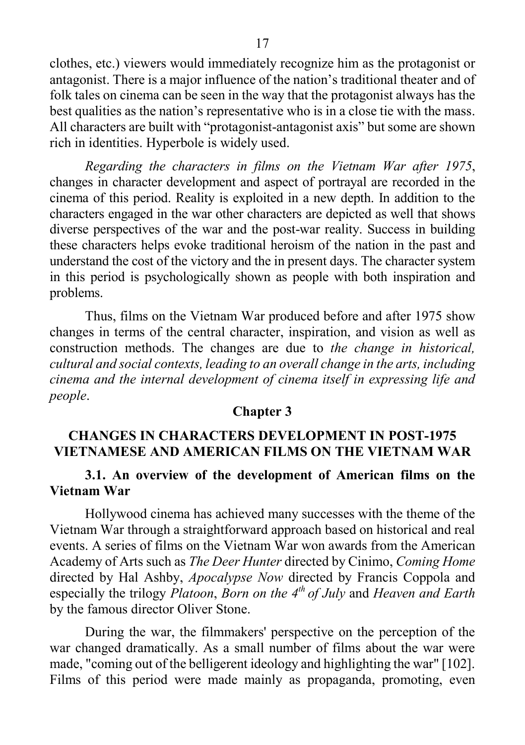clothes, etc.) viewers would immediately recognize him as the protagonist or antagonist. There is a major influence of the nation's traditional theater and of folk tales on cinema can be seen in the way that the protagonist always has the best qualities as the nation's representative who is in a close tie with the mass. All characters are built with "protagonist-antagonist axis" but some are shown rich in identities. Hyperbole is widely used.

*Regarding the characters in films on the Vietnam War after 1975*, changes in character development and aspect of portrayal are recorded in the cinema of this period. Reality is exploited in a new depth. In addition to the characters engaged in the war other characters are depicted as well that shows diverse perspectives of the war and the post-war reality. Success in building these characters helps evoke traditional heroism of the nation in the past and understand the cost of the victory and the in present days. The character system in this period is psychologically shown as people with both inspiration and problems.

Thus, films on the Vietnam War produced before and after 1975 show changes in terms of the central character, inspiration, and vision as well as construction methods. The changes are due to *the change in historical, cultural and social contexts, leading to an overall change in the arts, including cinema and the internal development of cinema itself in expressing life and people*.

#### **Chapter 3**

#### **CHANGES IN CHARACTERS DEVELOPMENT IN POST-1975 VIETNAMESE AND AMERICAN FILMS ON THE VIETNAM WAR**

#### **3.1. An overview of the development of American films on the Vietnam War**

Hollywood cinema has achieved many successes with the theme of the Vietnam War through a straightforward approach based on historical and real events. A series of films on the Vietnam War won awards from the American Academy of Arts such as *The Deer Hunter* directed by Cinimo, *Coming Home* directed by Hal Ashby, *Apocalypse Now* directed by Francis Coppola and especially the trilogy *Platoon*, *Born on the 4th of July* and *Heaven and Earth* by the famous director Oliver Stone.

During the war, the filmmakers' perspective on the perception of the war changed dramatically. As a small number of films about the war were made, "coming out of the belligerent ideology and highlighting the war" [102]. Films of this period were made mainly as propaganda, promoting, even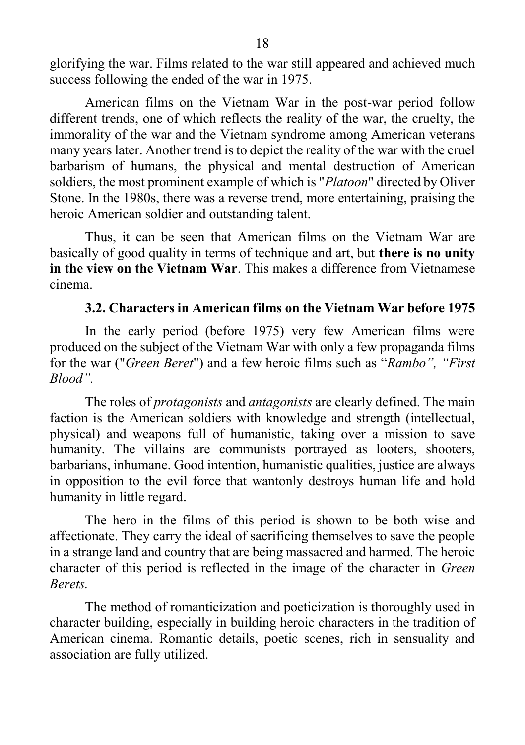glorifying the war. Films related to the war still appeared and achieved much success following the ended of the war in 1975.

American films on the Vietnam War in the post-war period follow different trends, one of which reflects the reality of the war, the cruelty, the immorality of the war and the Vietnam syndrome among American veterans many years later. Another trend is to depict the reality of the war with the cruel barbarism of humans, the physical and mental destruction of American soldiers, the most prominent example of which is "*Platoon*" directed by Oliver Stone. In the 1980s, there was a reverse trend, more entertaining, praising the heroic American soldier and outstanding talent.

Thus, it can be seen that American films on the Vietnam War are basically of good quality in terms of technique and art, but **there is no unity in the view on the Vietnam War**. This makes a difference from Vietnamese cinema.

#### **3.2. Characters in American films on the Vietnam War before 1975**

In the early period (before 1975) very few American films were produced on the subject of the Vietnam War with only a few propaganda films for the war ("*Green Beret*") and a few heroic films such as "*Rambo", "First Blood".*

The roles of *protagonists* and *antagonists* are clearly defined. The main faction is the American soldiers with knowledge and strength (intellectual, physical) and weapons full of humanistic, taking over a mission to save humanity. The villains are communists portrayed as looters, shooters, barbarians, inhumane. Good intention, humanistic qualities, justice are always in opposition to the evil force that wantonly destroys human life and hold humanity in little regard.

The hero in the films of this period is shown to be both wise and affectionate. They carry the ideal of sacrificing themselves to save the people in a strange land and country that are being massacred and harmed. The heroic character of this period is reflected in the image of the character in *Green Berets.*

The method of romanticization and poeticization is thoroughly used in character building, especially in building heroic characters in the tradition of American cinema. Romantic details, poetic scenes, rich in sensuality and association are fully utilized.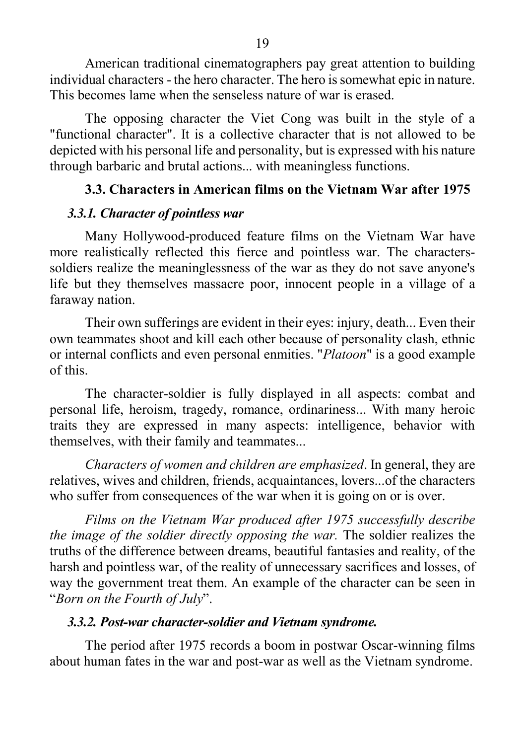American traditional cinematographers pay great attention to building individual characters - the hero character. The hero is somewhat epic in nature. This becomes lame when the senseless nature of war is erased.

The opposing character the Viet Cong was built in the style of a "functional character". It is a collective character that is not allowed to be depicted with his personal life and personality, but is expressed with his nature through barbaric and brutal actions... with meaningless functions.

## **3.3. Characters in American films on the Vietnam War after 1975**

## *3.3.1. Character of pointless war*

Many Hollywood-produced feature films on the Vietnam War have more realistically reflected this fierce and pointless war. The characterssoldiers realize the meaninglessness of the war as they do not save anyone's life but they themselves massacre poor, innocent people in a village of a faraway nation.

Their own sufferings are evident in their eyes: injury, death... Even their own teammates shoot and kill each other because of personality clash, ethnic or internal conflicts and even personal enmities. "*Platoon*" is a good example of this.

The character-soldier is fully displayed in all aspects: combat and personal life, heroism, tragedy, romance, ordinariness... With many heroic traits they are expressed in many aspects: intelligence, behavior with themselves, with their family and teammates...

*Characters of women and children are emphasized*. In general, they are relatives, wives and children, friends, acquaintances, lovers...of the characters who suffer from consequences of the war when it is going on or is over.

*Films on the Vietnam War produced after 1975 successfully describe the image of the soldier directly opposing the war.* The soldier realizes the truths of the difference between dreams, beautiful fantasies and reality, of the harsh and pointless war, of the reality of unnecessary sacrifices and losses, of way the government treat them. An example of the character can be seen in "*Born on the Fourth of July*".

## *3.3.2. Post-war character-soldier and Vietnam syndrome.*

The period after 1975 records a boom in postwar Oscar-winning films about human fates in the war and post-war as well as the Vietnam syndrome.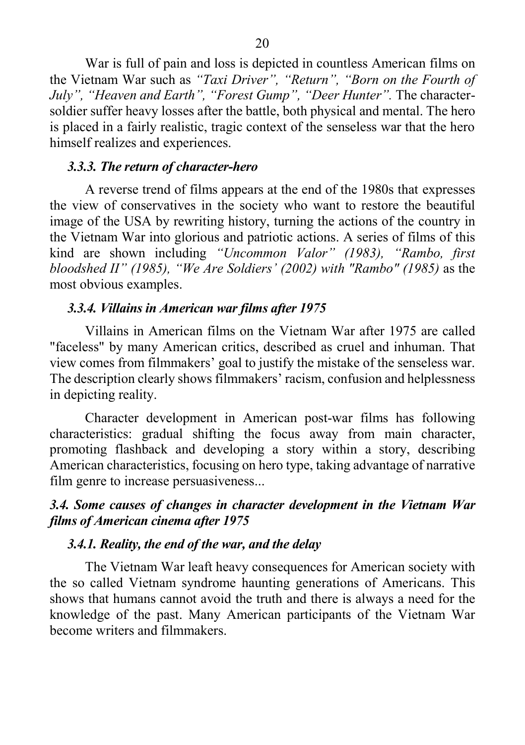War is full of pain and loss is depicted in countless American films on the Vietnam War such as *"Taxi Driver", "Return", "Born on the Fourth of July", "Heaven and Earth", "Forest Gump", "Deer Hunter".* The charactersoldier suffer heavy losses after the battle, both physical and mental. The hero is placed in a fairly realistic, tragic context of the senseless war that the hero himself realizes and experiences.

## *3.3.3. The return of character-hero*

A reverse trend of films appears at the end of the 1980s that expresses the view of conservatives in the society who want to restore the beautiful image of the USA by rewriting history, turning the actions of the country in the Vietnam War into glorious and patriotic actions. A series of films of this kind are shown including *"Uncommon Valor" (1983), "Rambo, first bloodshed II" (1985), "We Are Soldiers' (2002) with "Rambo" (1985)* as the most obvious examples.

#### *3.3.4. Villains in American war films after 1975*

Villains in American films on the Vietnam War after 1975 are called "faceless" by many American critics, described as cruel and inhuman. That view comes from filmmakers' goal to justify the mistake of the senseless war. The description clearly shows filmmakers' racism, confusion and helplessness in depicting reality.

Character development in American post-war films has following characteristics: gradual shifting the focus away from main character, promoting flashback and developing a story within a story, describing American characteristics, focusing on hero type, taking advantage of narrative film genre to increase persuasiveness...

## *3.4. Some causes of changes in character development in the Vietnam War films of American cinema after 1975*

#### *3.4.1. Reality, the end of the war, and the delay*

The Vietnam War leaft heavy consequences for American society with the so called Vietnam syndrome haunting generations of Americans. This shows that humans cannot avoid the truth and there is always a need for the knowledge of the past. Many American participants of the Vietnam War become writers and filmmakers.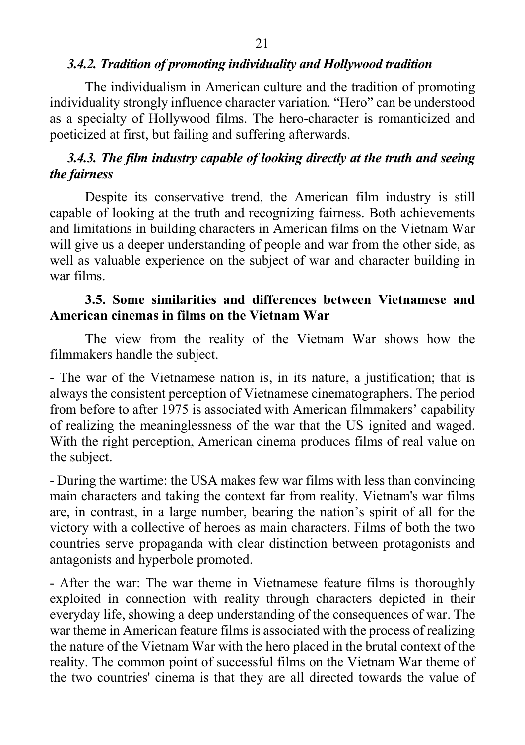The individualism in American culture and the tradition of promoting individuality strongly influence character variation. "Hero" can be understood as a specialty of Hollywood films. The hero-character is romanticized and poeticized at first, but failing and suffering afterwards.

## *3.4.3. The film industry capable of looking directly at the truth and seeing the fairness*

Despite its conservative trend, the American film industry is still capable of looking at the truth and recognizing fairness. Both achievements and limitations in building characters in American films on the Vietnam War will give us a deeper understanding of people and war from the other side, as well as valuable experience on the subject of war and character building in war films.

## **3.5. Some similarities and differences between Vietnamese and American cinemas in films on the Vietnam War**

The view from the reality of the Vietnam War shows how the filmmakers handle the subject.

- The war of the Vietnamese nation is, in its nature, a justification; that is always the consistent perception of Vietnamese cinematographers. The period from before to after 1975 is associated with American filmmakers' capability of realizing the meaninglessness of the war that the US ignited and waged. With the right perception, American cinema produces films of real value on the subject.

- During the wartime: the USA makes few war films with less than convincing main characters and taking the context far from reality. Vietnam's war films are, in contrast, in a large number, bearing the nation's spirit of all for the victory with a collective of heroes as main characters. Films of both the two countries serve propaganda with clear distinction between protagonists and antagonists and hyperbole promoted.

- After the war: The war theme in Vietnamese feature films is thoroughly exploited in connection with reality through characters depicted in their everyday life, showing a deep understanding of the consequences of war. The war theme in American feature films is associated with the process of realizing the nature of the Vietnam War with the hero placed in the brutal context of the reality. The common point of successful films on the Vietnam War theme of the two countries' cinema is that they are all directed towards the value of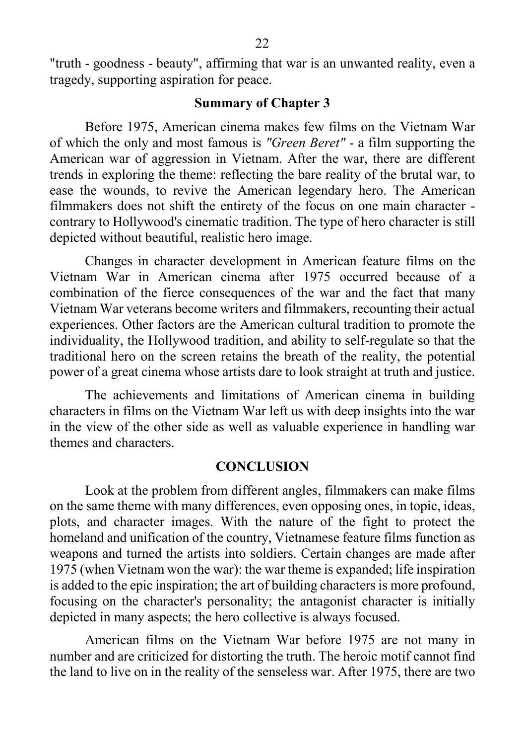"truth - goodness - beauty", affirming that war is an unwanted reality, even a tragedy, supporting aspiration for peace.

#### **Summary of Chapter 3**

Before 1975, American cinema makes few films on the Vietnam War of which the only and most famous is *"Green Beret"* - a film supporting the American war of aggression in Vietnam. After the war, there are different trends in exploring the theme: reflecting the bare reality of the brutal war, to ease the wounds, to revive the American legendary hero. The American filmmakers does not shift the entirety of the focus on one main character contrary to Hollywood's cinematic tradition. The type of hero character is still depicted without beautiful, realistic hero image.

Changes in character development in American feature films on the Vietnam War in American cinema after 1975 occurred because of a combination of the fierce consequences of the war and the fact that many Vietnam War veterans become writers and filmmakers, recounting their actual experiences. Other factors are the American cultural tradition to promote the individuality, the Hollywood tradition, and ability to self-regulate so that the traditional hero on the screen retains the breath of the reality, the potential power of a great cinema whose artists dare to look straight at truth and justice.

The achievements and limitations of American cinema in building characters in films on the Vietnam War left us with deep insights into the war in the view of the other side as well as valuable experience in handling war themes and characters.

#### **CONCLUSION**

Look at the problem from different angles, filmmakers can make films on the same theme with many differences, even opposing ones, in topic, ideas, plots, and character images. With the nature of the fight to protect the homeland and unification of the country, Vietnamese feature films function as weapons and turned the artists into soldiers. Certain changes are made after 1975 (when Vietnam won the war): the war theme is expanded; life inspiration is added to the epic inspiration; the art of building characters is more profound, focusing on the character's personality; the antagonist character is initially depicted in many aspects; the hero collective is always focused.

American films on the Vietnam War before 1975 are not many in number and are criticized for distorting the truth. The heroic motif cannot find the land to live on in the reality of the senseless war. After 1975, there are two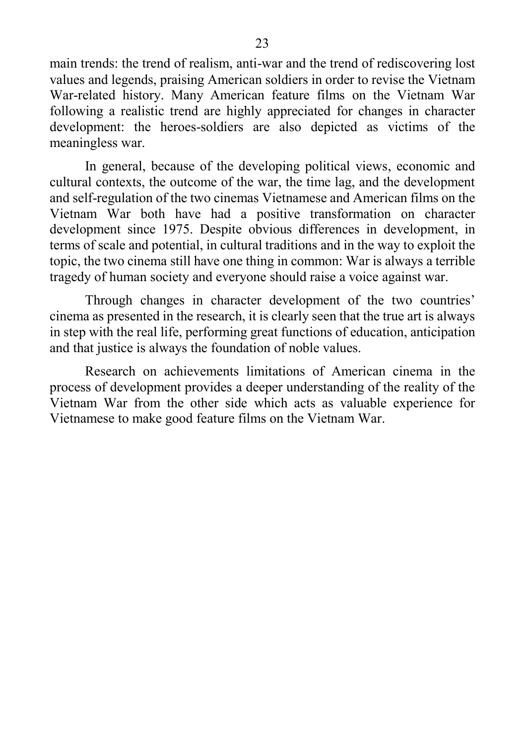main trends: the trend of realism, anti-war and the trend of rediscovering lost values and legends, praising American soldiers in order to revise the Vietnam War-related history. Many American feature films on the Vietnam War following a realistic trend are highly appreciated for changes in character development: the heroes-soldiers are also depicted as victims of the meaningless war.

In general, because of the developing political views, economic and cultural contexts, the outcome of the war, the time lag, and the development and self-regulation of the two cinemas Vietnamese and American films on the Vietnam War both have had a positive transformation on character development since 1975. Despite obvious differences in development, in terms of scale and potential, in cultural traditions and in the way to exploit the topic, the two cinema still have one thing in common: War is always a terrible tragedy of human society and everyone should raise a voice against war.

Through changes in character development of the two countries' cinema as presented in the research, it is clearly seen that the true art is always in step with the real life, performing great functions of education, anticipation and that justice is always the foundation of noble values.

Research on achievements limitations of American cinema in the process of development provides a deeper understanding of the reality of the Vietnam War from the other side which acts as valuable experience for Vietnamese to make good feature films on the Vietnam War.